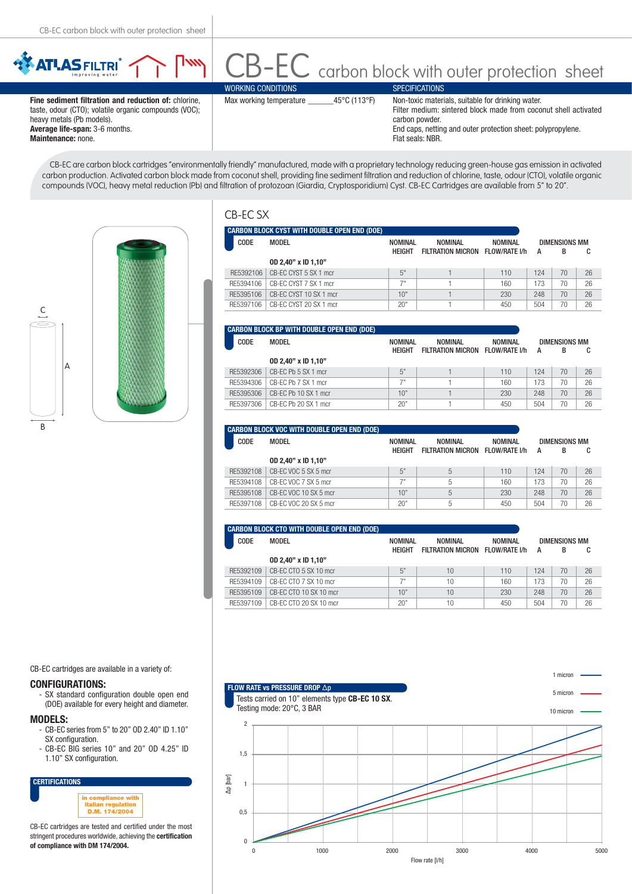

heavy metals (Pb models). **Average life-span:** 3-6 months. **Maintenance:** none.

carbon powder. End caps, netting and outer protection sheet: polypropylene. Flat seals: NBR.

CB-EC are carbon block cartridges "environmentally friendly" manufactured, made with a proprietary technology reducing green-house gas emission in activated carbon production. Activated carbon block made from coconut shell, providing fine sediment filtration and reduction of chlorine, taste, odour (CTO), volatile organic compounds (VOC), heavy metal reduction (Pb) and filtration of protozoan (Giardia, Cryptosporidium) Cyst. CB-EC Cartridges are available from 5" to 20".



|--|--|

|           | <b>CARBON BLOCK CYST WITH DOUBLE OPEN END (DOE)</b> |                                 |                                            |                |                         |    |    |
|-----------|-----------------------------------------------------|---------------------------------|--------------------------------------------|----------------|-------------------------|----|----|
| CODE      | <b>MODEL</b>                                        | <b>NOMINAL</b><br><b>HEIGHT</b> | NOMINAL<br>FILTRATION MICRON FLOW/RATE I/h | <b>NOMINAL</b> | DIMENSIONS MM<br>А<br>в |    | C  |
|           | 0D 2.40" x ID 1.10"                                 |                                 |                                            |                |                         |    |    |
| RF5392106 | CB-FC CYST 5 SX 1 mcr                               | 5"                              |                                            | 110            | 124                     | 70 | 26 |
| RF5394106 | CB-EC CYST 7 SX 1 mcr                               | 7"                              |                                            | 160            | 173                     | 70 | 26 |
| RF5395106 | CB-FC CYST 10 SX 1 mcr                              | 10"                             |                                            | 230            | 248                     | 70 | 26 |
| RF5397106 | CB-FC CYST 20 SX 1 mcr                              | 20"                             |                                            | 450            | 504                     | 70 | 26 |

|           | CARBON BLOCK BP WITH DOUBLE OPEN END (DOE) |                |                                 |                |               |    |    |
|-----------|--------------------------------------------|----------------|---------------------------------|----------------|---------------|----|----|
| CODE      | MODEL                                      | <b>NOMINAL</b> | NOMINAL                         | <b>NOMINAL</b> | DIMENSIONS MM |    |    |
|           |                                            | <b>HEIGHT</b>  | FILTRATION MICRON FLOW/RATE I/h |                | A             | в  | C  |
|           | 0D 2,40" x ID 1,10"                        |                |                                 |                |               |    |    |
| RF5392306 | CB-FC Pb 5 SX 1 mcr                        | 5"             |                                 | 110            | 124           | 70 | 26 |
| RF5394306 | CB-EC Pb 7 SX 1 mcr                        |                |                                 | 160            | 173           | 70 | 26 |
| RF5395306 | CB-EC Pb 10 SX 1 mcr                       | 10"            |                                 | 230            | 248           | 70 | 26 |
| RF5397306 | CB-FC Pb 20 SX 1 mcr                       | 20"            |                                 | 450            | 504           | 70 | 26 |

|           | <b>CARBON BLOCK VOC WITH DOUBLE OPEN END (DOE)</b> |                 |                          |                |     |                      |    |
|-----------|----------------------------------------------------|-----------------|--------------------------|----------------|-----|----------------------|----|
| CODE      | MODEL                                              | <b>NOMINAL</b>  | NOMINAL                  | <b>NOMINAL</b> |     | <b>DIMENSIONS MM</b> |    |
|           | 0D 2.40" x ID 1.10"                                | <b>HEIGHT</b>   | <b>FILTRATION MICRON</b> | FLOW/RATE I/h  | А   | В                    | C  |
| RF5392108 | CB-FC VOC 5 SX 5 mcr                               | 5"              | 5                        | 110            | 124 | 70                   | 26 |
| RF5394108 | CB-FC VOC 7 SX 5 mcr                               | 7 <sup>11</sup> | 5                        | 160            | 173 | 70                   | 26 |
| RF5395108 | CB-FC VOC 10 SX 5 mcr                              | 10"             | 5                        | 230            | 248 | 70                   | 26 |
| RF5397108 | CB-FC VOC 20 SX 5 mcr                              | 20"             | 5                        | 450            | 504 | 70                   | 26 |

|           | CARBON BLOCK CTO WITH DOUBLE OPEN END (DOE) |               |                          |                |                      |    |    |
|-----------|---------------------------------------------|---------------|--------------------------|----------------|----------------------|----|----|
| CODE      | MODEL                                       | NOMINAL       | <b>NOMINAL</b>           | <b>NOMINAL</b> | <b>DIMENSIONS MM</b> |    |    |
|           |                                             | <b>HFIGHT</b> | <b>FILTRATION MICRON</b> | FLOW/RATE I/h  | А                    | В  | C  |
|           | 0D 2,40" x ID 1,10"                         |               |                          |                |                      |    |    |
| RF5392109 | CB-FC CTO 5 SX 10 mcr                       | 5"            | 10                       | 110            | 124                  | 70 | 26 |
| RF5394109 | CB-EC CTO 7 SX 10 mcr                       | 79            | 10                       | 160            | 173                  | 70 | 26 |
| RF5395109 | CB-FC CTO 10 SX 10 mcr                      | 10"           | 10                       | 230            | 248                  | 70 | 26 |
| RF5397109 | CB-FC CTO 20 SX 10 mcr                      | 20"           | 10                       | 450            | 504                  | 70 | 26 |

CB-EC cartridges are available in a variety of:

## **CONFIGURATIONS:**

SX standard configuration double open end (DOE) available for every height and diameter.

**MODELS:**

- CB-EC series from 5" to 20" OD 2.40" ID 1.10" SX configuration.
- CB-EC BIG series 10" and 20" OD 4.25" ID 1.10" SX configuration.



CB-EC cartridges are tested and certified under the most stringent procedures worldwide, achieving the **certification of compliance with DM 174/2004.**